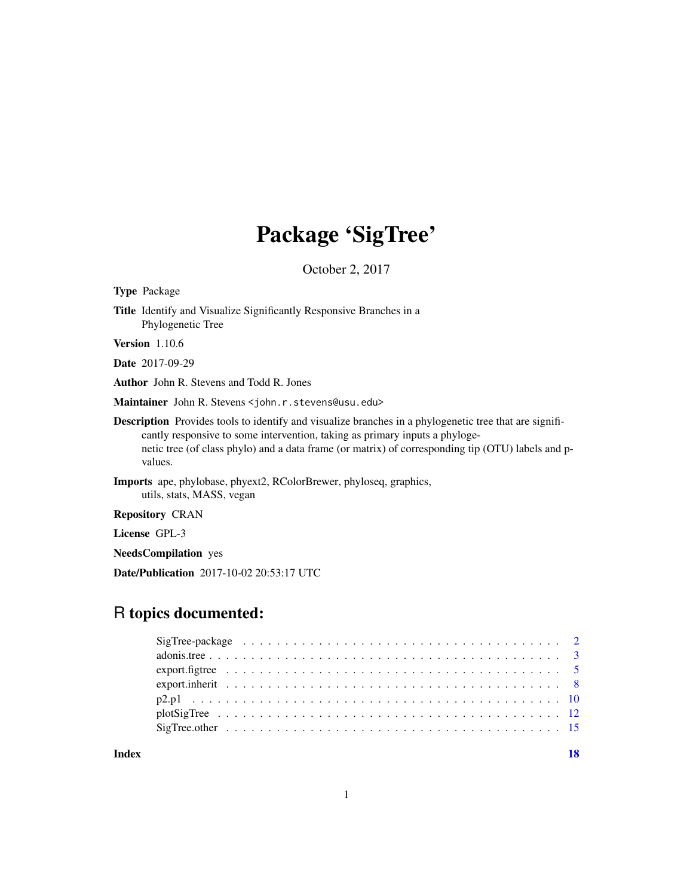# Package 'SigTree'

October 2, 2017

| <b>Type</b> Package                                                                                                                                                                                                                                                                                          |
|--------------------------------------------------------------------------------------------------------------------------------------------------------------------------------------------------------------------------------------------------------------------------------------------------------------|
| <b>Title</b> Identify and Visualize Significantly Responsive Branches in a<br>Phylogenetic Tree                                                                                                                                                                                                              |
| <b>Version</b> $1.10.6$                                                                                                                                                                                                                                                                                      |
| <b>Date</b> 2017-09-29                                                                                                                                                                                                                                                                                       |
| <b>Author</b> John R. Stevens and Todd R. Jones                                                                                                                                                                                                                                                              |
| Maintainer John R. Stevens < john. r. stevens@usu. edu>                                                                                                                                                                                                                                                      |
| <b>Description</b> Provides tools to identify and visualize branches in a phylogenetic tree that are signifi-<br>cantly responsive to some intervention, taking as primary inputs a phyloge-<br>netic tree (of class phylo) and a data frame (or matrix) of corresponding tip (OTU) labels and p-<br>values. |
| <b>Imports</b> ape, phylobase, phyext2, RColorBrewer, phyloseq, graphics,<br>utils, stats, MASS, vegan                                                                                                                                                                                                       |
| <b>Repository CRAN</b>                                                                                                                                                                                                                                                                                       |

License GPL-3

NeedsCompilation yes

Date/Publication 2017-10-02 20:53:17 UTC

# R topics documented:

1

**Index** 2008 **[18](#page-17-0)**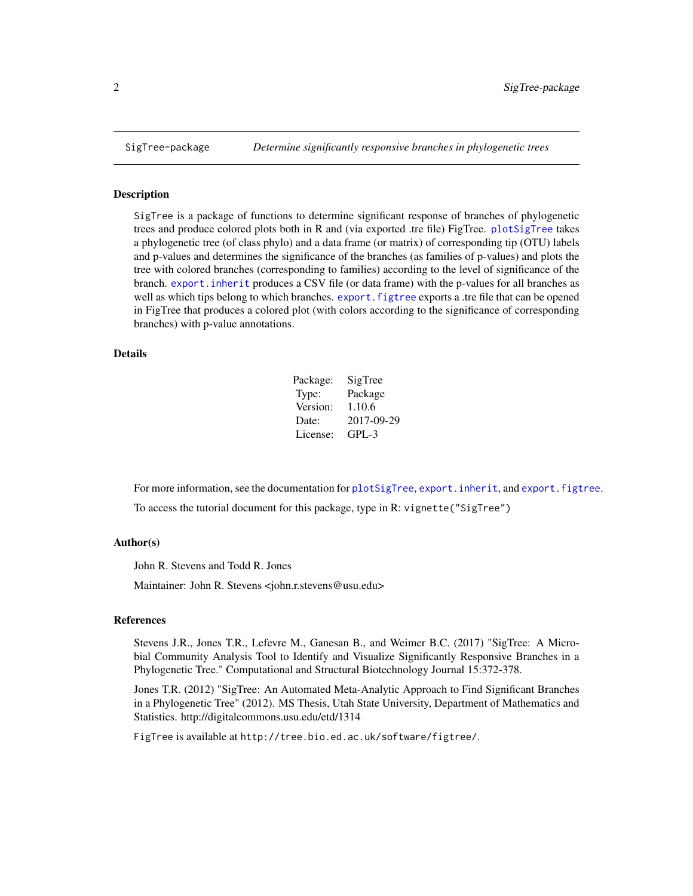<span id="page-1-0"></span>

#### Description

SigTree is a package of functions to determine significant response of branches of phylogenetic trees and produce colored plots both in R and (via exported .tre file) FigTree. [plotSigTree](#page-11-1) takes a phylogenetic tree (of class phylo) and a data frame (or matrix) of corresponding tip (OTU) labels and p-values and determines the significance of the branches (as families of p-values) and plots the tree with colored branches (corresponding to families) according to the level of significance of the branch. [export.inherit](#page-7-1) produces a CSV file (or data frame) with the p-values for all branches as well as which tips belong to which branches. export. figtree exports a .tre file that can be opened in FigTree that produces a colored plot (with colors according to the significance of corresponding branches) with p-value annotations.

# Details

| Package: | SigTree    |
|----------|------------|
| Type:    | Package    |
| Version: | 1.10.6     |
| Date:    | 2017-09-29 |
| License: | GPL-3      |

For more information, see the documentation for [plotSigTree](#page-11-1), [export.inherit](#page-7-1), and [export.figtree](#page-4-1). To access the tutorial document for this package, type in R: vignette("SigTree")

#### Author(s)

John R. Stevens and Todd R. Jones

Maintainer: John R. Stevens <john.r.stevens@usu.edu>

#### References

Stevens J.R., Jones T.R., Lefevre M., Ganesan B., and Weimer B.C. (2017) "SigTree: A Microbial Community Analysis Tool to Identify and Visualize Significantly Responsive Branches in a Phylogenetic Tree." Computational and Structural Biotechnology Journal 15:372-378.

Jones T.R. (2012) "SigTree: An Automated Meta-Analytic Approach to Find Significant Branches in a Phylogenetic Tree" (2012). MS Thesis, Utah State University, Department of Mathematics and Statistics. http://digitalcommons.usu.edu/etd/1314

FigTree is available at http://tree.bio.ed.ac.uk/software/figtree/.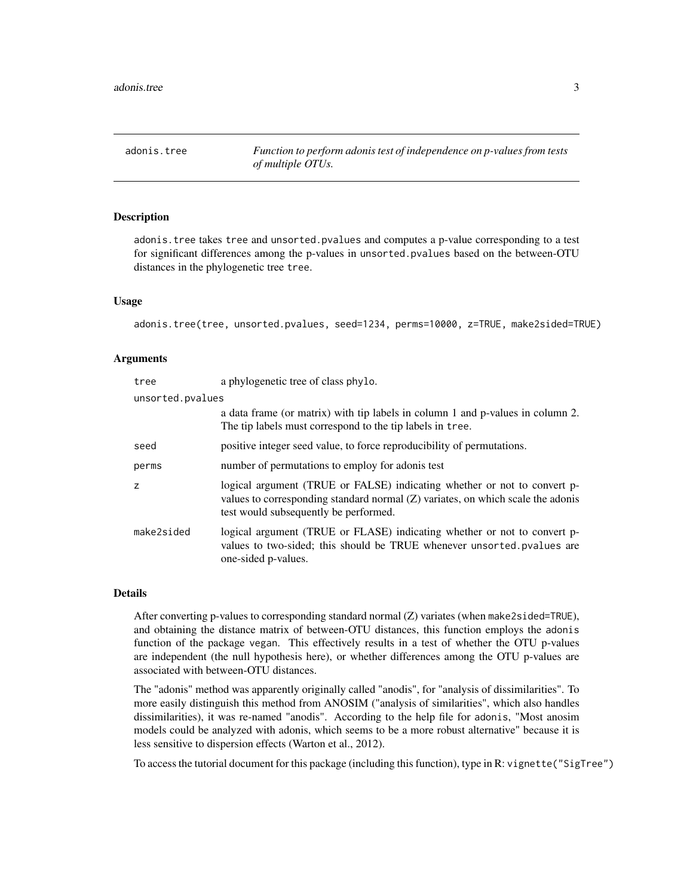<span id="page-2-0"></span>adonis.tree *Function to perform adonis test of independence on p-values from tests of multiple OTUs.*

#### Description

adonis.tree takes tree and unsorted.pvalues and computes a p-value corresponding to a test for significant differences among the p-values in unsorted.pvalues based on the between-OTU distances in the phylogenetic tree tree.

#### Usage

adonis.tree(tree, unsorted.pvalues, seed=1234, perms=10000, z=TRUE, make2sided=TRUE)

#### Arguments

| tree             | a phylogenetic tree of class phylo.                                                                                                                                                                    |
|------------------|--------------------------------------------------------------------------------------------------------------------------------------------------------------------------------------------------------|
| unsorted.pvalues |                                                                                                                                                                                                        |
|                  | a data frame (or matrix) with tip labels in column 1 and p-values in column 2.<br>The tip labels must correspond to the tip labels in tree.                                                            |
| seed             | positive integer seed value, to force reproducibility of permutations.                                                                                                                                 |
| perms            | number of permutations to employ for adonis test                                                                                                                                                       |
| z                | logical argument (TRUE or FALSE) indicating whether or not to convert p-<br>values to corresponding standard normal $(Z)$ variates, on which scale the adonis<br>test would subsequently be performed. |
| make2sided       | logical argument (TRUE or FLASE) indicating whether or not to convert p-<br>values to two-sided; this should be TRUE whenever unsorted pvalues are<br>one-sided p-values.                              |

#### Details

After converting p-values to corresponding standard normal (Z) variates (when make2sided=TRUE), and obtaining the distance matrix of between-OTU distances, this function employs the adonis function of the package vegan. This effectively results in a test of whether the OTU p-values are independent (the null hypothesis here), or whether differences among the OTU p-values are associated with between-OTU distances.

The "adonis" method was apparently originally called "anodis", for "analysis of dissimilarities". To more easily distinguish this method from ANOSIM ("analysis of similarities", which also handles dissimilarities), it was re-named "anodis". According to the help file for adonis, "Most anosim models could be analyzed with adonis, which seems to be a more robust alternative" because it is less sensitive to dispersion effects (Warton et al., 2012).

To access the tutorial document for this package (including this function), type in R: vignette("SigTree")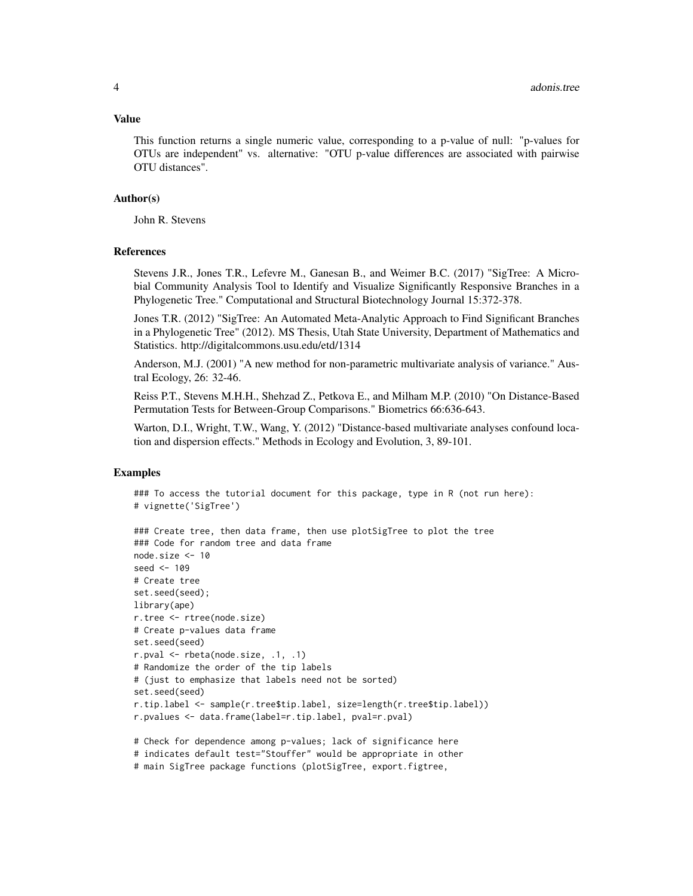#### Value

This function returns a single numeric value, corresponding to a p-value of null: "p-values for OTUs are independent" vs. alternative: "OTU p-value differences are associated with pairwise OTU distances".

#### Author(s)

John R. Stevens

#### References

Stevens J.R., Jones T.R., Lefevre M., Ganesan B., and Weimer B.C. (2017) "SigTree: A Microbial Community Analysis Tool to Identify and Visualize Significantly Responsive Branches in a Phylogenetic Tree." Computational and Structural Biotechnology Journal 15:372-378.

Jones T.R. (2012) "SigTree: An Automated Meta-Analytic Approach to Find Significant Branches in a Phylogenetic Tree" (2012). MS Thesis, Utah State University, Department of Mathematics and Statistics. http://digitalcommons.usu.edu/etd/1314

Anderson, M.J. (2001) "A new method for non-parametric multivariate analysis of variance." Austral Ecology, 26: 32-46.

Reiss P.T., Stevens M.H.H., Shehzad Z., Petkova E., and Milham M.P. (2010) "On Distance-Based Permutation Tests for Between-Group Comparisons." Biometrics 66:636-643.

Warton, D.I., Wright, T.W., Wang, Y. (2012) "Distance-based multivariate analyses confound location and dispersion effects." Methods in Ecology and Evolution, 3, 89-101.

## Examples

```
### To access the tutorial document for this package, type in R (not run here):
# vignette('SigTree')
```

```
### Create tree, then data frame, then use plotSigTree to plot the tree
### Code for random tree and data frame
node.size <- 10
seed <- 109
# Create tree
set.seed(seed);
library(ape)
r.tree <- rtree(node.size)
# Create p-values data frame
set.seed(seed)
r.pval <- rbeta(node.size, .1, .1)
# Randomize the order of the tip labels
# (just to emphasize that labels need not be sorted)
set.seed(seed)
r.tip.label <- sample(r.tree$tip.label, size=length(r.tree$tip.label))
r.pvalues <- data.frame(label=r.tip.label, pval=r.pval)
# Check for dependence among p-values; lack of significance here
```

```
# indicates default test="Stouffer" would be appropriate in other
```

```
# main SigTree package functions (plotSigTree, export.figtree,
```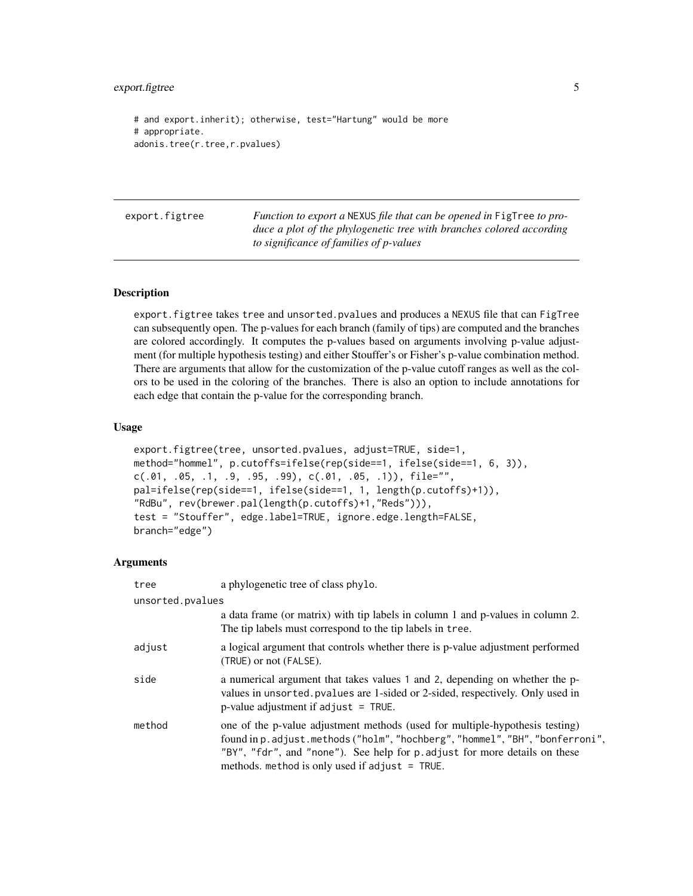<span id="page-4-0"></span>export.figtree 5

```
# and export.inherit); otherwise, test="Hartung" would be more
# appropriate.
adonis.tree(r.tree,r.pvalues)
```
<span id="page-4-1"></span>

| export.figtree | <i>Function to export a NEXUS file that can be opened in FigTree to pro-</i> |
|----------------|------------------------------------------------------------------------------|
|                | duce a plot of the phylogenetic tree with branches colored according         |
|                | to significance of families of p-values                                      |

#### Description

export.figtree takes tree and unsorted.pvalues and produces a NEXUS file that can FigTree can subsequently open. The p-values for each branch (family of tips) are computed and the branches are colored accordingly. It computes the p-values based on arguments involving p-value adjustment (for multiple hypothesis testing) and either Stouffer's or Fisher's p-value combination method. There are arguments that allow for the customization of the p-value cutoff ranges as well as the colors to be used in the coloring of the branches. There is also an option to include annotations for each edge that contain the p-value for the corresponding branch.

#### Usage

```
export.figtree(tree, unsorted.pvalues, adjust=TRUE, side=1,
method="hommel", p.cutoffs=ifelse(rep(side==1, ifelse(side==1, 6, 3)),
c(.01, .05, .1, .9, .95, .99), c(.01, .05, .1)), file="",
pal=ifelse(rep(side==1, ifelse(side==1, 1, length(p.cutoffs)+1)),
"RdBu", rev(brewer.pal(length(p.cutoffs)+1,"Reds"))),
test = "Stouffer", edge.label=TRUE, ignore.edge.length=FALSE,
branch="edge")
```
#### **Arguments**

| tree             | a phylogenetic tree of class phylo.                                                                                                                                                                                                                                                             |  |
|------------------|-------------------------------------------------------------------------------------------------------------------------------------------------------------------------------------------------------------------------------------------------------------------------------------------------|--|
| unsorted.pvalues |                                                                                                                                                                                                                                                                                                 |  |
|                  | a data frame (or matrix) with tip labels in column 1 and p-values in column 2.<br>The tip labels must correspond to the tip labels in tree.                                                                                                                                                     |  |
| adjust           | a logical argument that controls whether there is p-value adjustment performed<br>(TRUE) or not (FALSE).                                                                                                                                                                                        |  |
| side             | a numerical argument that takes values 1 and 2, depending on whether the p-<br>values in unsorted. pvalues are 1-sided or 2-sided, respectively. Only used in<br>$p$ -value adjustment if adjust = TRUE.                                                                                        |  |
| method           | one of the p-value adjustment methods (used for multiple-hypothesis testing)<br>found in p. adjust.methods ("holm", "hochberg", "hommel", "BH", "bonferroni",<br>"BY", "fdr", and "none"). See help for p. adjust for more details on these<br>methods. method is only used if adjust $=$ TRUE. |  |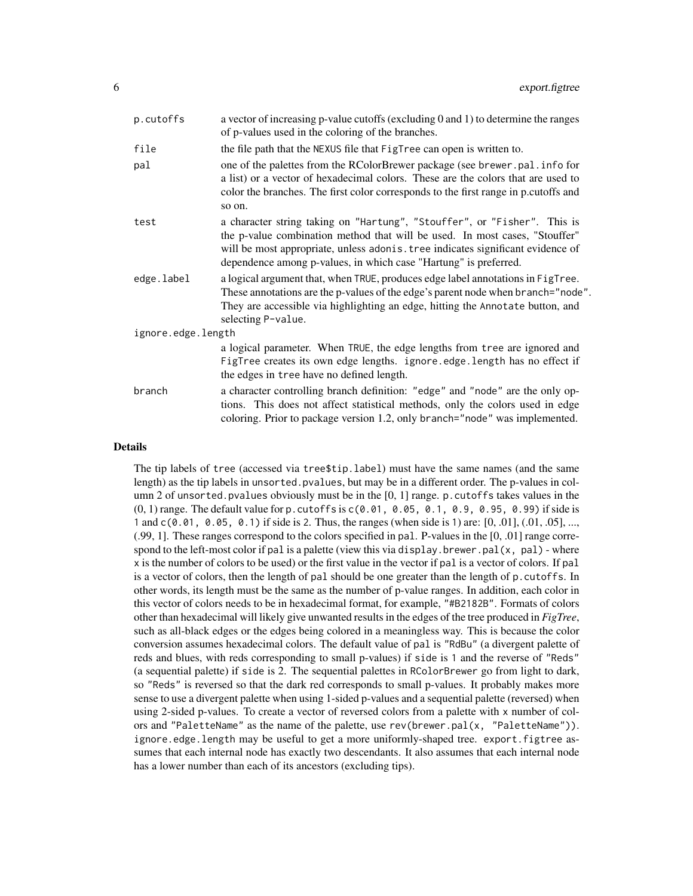| p.cutoffs          | a vector of increasing p-value cutoffs (excluding 0 and 1) to determine the ranges<br>of p-values used in the coloring of the branches.                                                                                                                                                                        |
|--------------------|----------------------------------------------------------------------------------------------------------------------------------------------------------------------------------------------------------------------------------------------------------------------------------------------------------------|
| file               | the file path that the NEXUS file that FigTree can open is written to.                                                                                                                                                                                                                                         |
| pal                | one of the palettes from the RColorBrewer package (see brewer.pal.info for<br>a list) or a vector of hexadecimal colors. These are the colors that are used to<br>color the branches. The first color corresponds to the first range in p.cutoffs and<br>so on.                                                |
| test               | a character string taking on "Hartung", "Stouffer", or "Fisher". This is<br>the p-value combination method that will be used. In most cases, "Stouffer"<br>will be most appropriate, unless adonis. tree indicates significant evidence of<br>dependence among p-values, in which case "Hartung" is preferred. |
| edge.label         | a logical argument that, when TRUE, produces edge label annotations in FigTree.<br>These annotations are the p-values of the edge's parent node when branch="node".<br>They are accessible via highlighting an edge, hitting the Annotate button, and<br>selecting P-value.                                    |
| ignore.edge.length |                                                                                                                                                                                                                                                                                                                |
|                    | a logical parameter. When TRUE, the edge lengths from tree are ignored and<br>FigTree creates its own edge lengths. ignore.edge.length has no effect if<br>the edges in tree have no defined length.                                                                                                           |
| branch             | a character controlling branch definition: "edge" and "node" are the only op-<br>tions. This does not affect statistical methods, only the colors used in edge<br>coloring. Prior to package version 1.2, only branch="node" was implemented.                                                                  |

#### Details

The tip labels of tree (accessed via tree\$tip.label) must have the same names (and the same length) as the tip labels in unsorted.pvalues, but may be in a different order. The p-values in column 2 of unsorted. pvalues obviously must be in the  $[0, 1]$  range. p. cutoffs takes values in the  $(0, 1)$  range. The default value for p. cutoffs is  $c(0.01, 0.05, 0.1, 0.9, 0.95, 0.99)$  if side is 1 and c(0.01, 0.05, 0.1) if side is 2. Thus, the ranges (when side is 1) are: [0, .01], (.01, .05], ..., (.99, 1]. These ranges correspond to the colors specified in pal. P-values in the [0, .01] range correspond to the left-most color if pal is a palette (view this via display. brewer. pal( $x$ , pal) - where x is the number of colors to be used) or the first value in the vector if pal is a vector of colors. If pal is a vector of colors, then the length of pal should be one greater than the length of p.cutoffs. In other words, its length must be the same as the number of p-value ranges. In addition, each color in this vector of colors needs to be in hexadecimal format, for example, "#B2182B". Formats of colors other than hexadecimal will likely give unwanted results in the edges of the tree produced in *FigTree*, such as all-black edges or the edges being colored in a meaningless way. This is because the color conversion assumes hexadecimal colors. The default value of pal is "RdBu" (a divergent palette of reds and blues, with reds corresponding to small p-values) if side is 1 and the reverse of "Reds" (a sequential palette) if side is 2. The sequential palettes in RColorBrewer go from light to dark, so "Reds" is reversed so that the dark red corresponds to small p-values. It probably makes more sense to use a divergent palette when using 1-sided p-values and a sequential palette (reversed) when using 2-sided p-values. To create a vector of reversed colors from a palette with x number of colors and "PaletteName" as the name of the palette, use rev(brewer.pal(x, "PaletteName")). ignore.edge.length may be useful to get a more uniformly-shaped tree. export.figtree assumes that each internal node has exactly two descendants. It also assumes that each internal node has a lower number than each of its ancestors (excluding tips).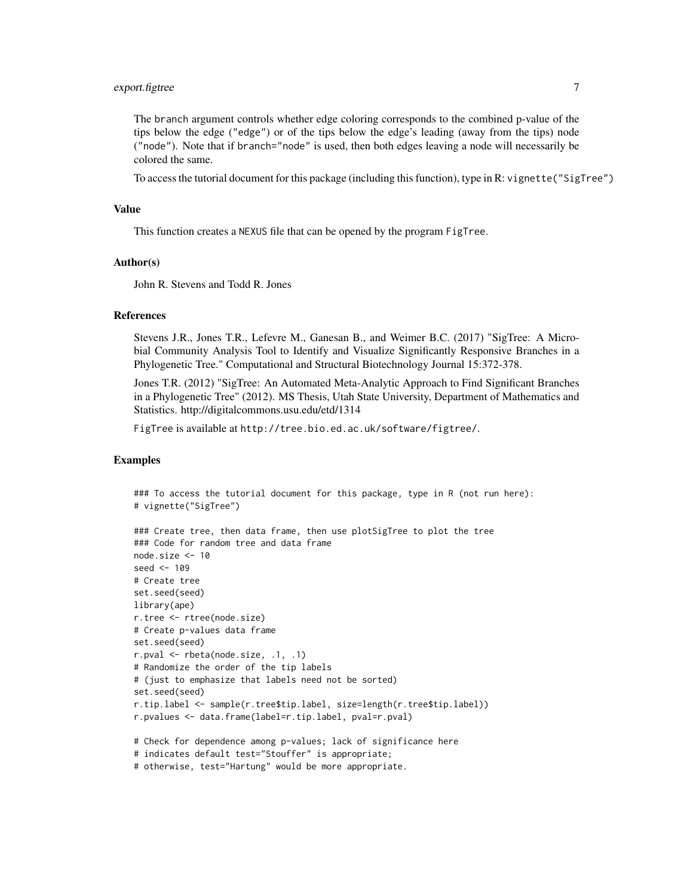# export.figtree 7

The branch argument controls whether edge coloring corresponds to the combined p-value of the tips below the edge ("edge") or of the tips below the edge's leading (away from the tips) node ("node"). Note that if branch="node" is used, then both edges leaving a node will necessarily be colored the same.

To access the tutorial document for this package (including this function), type in R: vignette("SigTree")

#### Value

This function creates a NEXUS file that can be opened by the program FigTree.

#### Author(s)

John R. Stevens and Todd R. Jones

#### References

Stevens J.R., Jones T.R., Lefevre M., Ganesan B., and Weimer B.C. (2017) "SigTree: A Microbial Community Analysis Tool to Identify and Visualize Significantly Responsive Branches in a Phylogenetic Tree." Computational and Structural Biotechnology Journal 15:372-378.

Jones T.R. (2012) "SigTree: An Automated Meta-Analytic Approach to Find Significant Branches in a Phylogenetic Tree" (2012). MS Thesis, Utah State University, Department of Mathematics and Statistics. http://digitalcommons.usu.edu/etd/1314

FigTree is available at http://tree.bio.ed.ac.uk/software/figtree/.

#### Examples

```
### To access the tutorial document for this package, type in R (not run here):
# vignette("SigTree")
### Create tree, then data frame, then use plotSigTree to plot the tree
### Code for random tree and data frame
node.size <- 10
seed <- 109
# Create tree
set.seed(seed)
library(ape)
r.tree <- rtree(node.size)
# Create p-values data frame
set.seed(seed)
r.pval <- rbeta(node.size, .1, .1)
# Randomize the order of the tip labels
# (just to emphasize that labels need not be sorted)
set.seed(seed)
r.tip.label <- sample(r.tree$tip.label, size=length(r.tree$tip.label))
r.pvalues <- data.frame(label=r.tip.label, pval=r.pval)
# Check for dependence among p-values; lack of significance here
# indicates default test="Stouffer" is appropriate;
```
# otherwise, test="Hartung" would be more appropriate.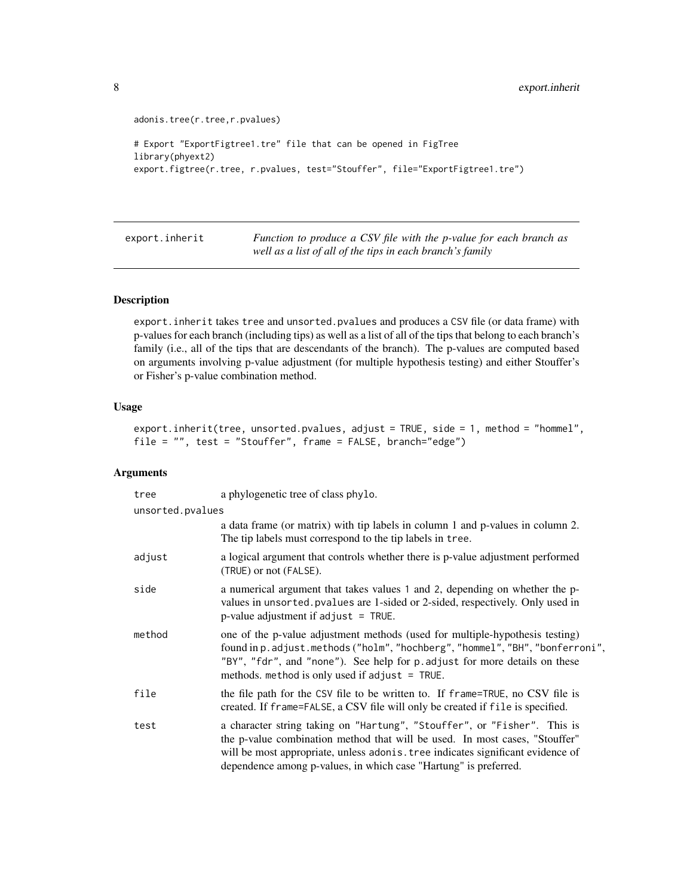```
adonis.tree(r.tree,r.pvalues)
# Export "ExportFigtree1.tre" file that can be opened in FigTree
library(phyext2)
export.figtree(r.tree, r.pvalues, test="Stouffer", file="ExportFigtree1.tre")
```
<span id="page-7-1"></span>export.inherit *Function to produce a CSV file with the p-value for each branch as well as a list of all of the tips in each branch's family*

## Description

export.inherit takes tree and unsorted.pvalues and produces a CSV file (or data frame) with p-values for each branch (including tips) as well as a list of all of the tips that belong to each branch's family (i.e., all of the tips that are descendants of the branch). The p-values are computed based on arguments involving p-value adjustment (for multiple hypothesis testing) and either Stouffer's or Fisher's p-value combination method.

#### Usage

```
export.inherit(tree, unsorted.pvalues, adjust = TRUE, side = 1, method = "hommel",
file = "", test = "Stouffer", frame = FALSE, branch="edge")
```
# Arguments

| tree             | a phylogenetic tree of class phylo.                                                                                                                                                                                                                                                                            |
|------------------|----------------------------------------------------------------------------------------------------------------------------------------------------------------------------------------------------------------------------------------------------------------------------------------------------------------|
| unsorted.pvalues |                                                                                                                                                                                                                                                                                                                |
|                  | a data frame (or matrix) with tip labels in column 1 and p-values in column 2.<br>The tip labels must correspond to the tip labels in tree.                                                                                                                                                                    |
| adjust           | a logical argument that controls whether there is p-value adjustment performed<br>(TRUE) or not (FALSE).                                                                                                                                                                                                       |
| side             | a numerical argument that takes values 1 and 2, depending on whether the p-<br>values in unsorted. pvalues are 1-sided or 2-sided, respectively. Only used in<br>$p$ -value adjustment if adjust = TRUE.                                                                                                       |
| method           | one of the p-value adjustment methods (used for multiple-hypothesis testing)<br>found in p.adjust.methods ("holm", "hochberg", "hommel", "BH", "bonferroni",<br>"BY", "fdr", and "none"). See help for p. adjust for more details on these<br>methods. method is only used if adjust $=$ TRUE.                 |
| file             | the file path for the CSV file to be written to. If frame=TRUE, no CSV file is<br>created. If frame=FALSE, a CSV file will only be created if file is specified.                                                                                                                                               |
| test             | a character string taking on "Hartung", "Stouffer", or "Fisher". This is<br>the p-value combination method that will be used. In most cases, "Stouffer"<br>will be most appropriate, unless adonis. tree indicates significant evidence of<br>dependence among p-values, in which case "Hartung" is preferred. |

<span id="page-7-0"></span>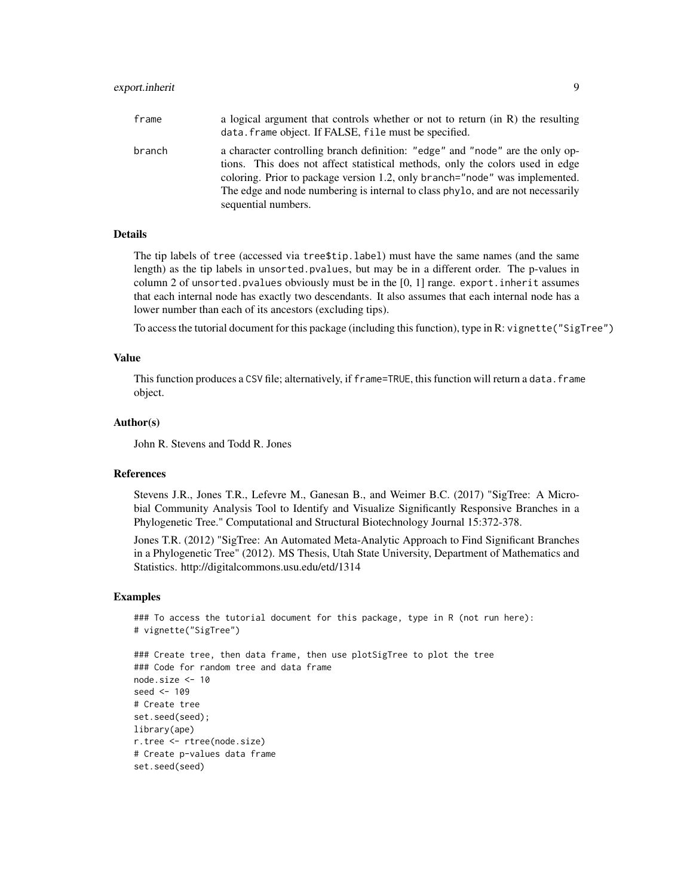# export.inherit 9

| frame  | a logical argument that controls whether or not to return (in R) the resulting<br>data. frame object. If FALSE, file must be specified.                                                                                                                                                                                                                 |
|--------|---------------------------------------------------------------------------------------------------------------------------------------------------------------------------------------------------------------------------------------------------------------------------------------------------------------------------------------------------------|
| branch | a character controlling branch definition: "edge" and "node" are the only op-<br>tions. This does not affect statistical methods, only the colors used in edge<br>coloring. Prior to package version 1.2, only branch="node" was implemented.<br>The edge and node numbering is internal to class phylo, and are not necessarily<br>sequential numbers. |

#### Details

The tip labels of tree (accessed via tree\$tip.label) must have the same names (and the same length) as the tip labels in unsorted.pvalues, but may be in a different order. The p-values in column 2 of unsorted.pvalues obviously must be in the  $[0, 1]$  range. export.inherit assumes that each internal node has exactly two descendants. It also assumes that each internal node has a lower number than each of its ancestors (excluding tips).

To access the tutorial document for this package (including this function), type in R: vignette("SigTree")

#### Value

This function produces a CSV file; alternatively, if frame=TRUE, this function will return a data. frame object.

#### Author(s)

John R. Stevens and Todd R. Jones

## References

Stevens J.R., Jones T.R., Lefevre M., Ganesan B., and Weimer B.C. (2017) "SigTree: A Microbial Community Analysis Tool to Identify and Visualize Significantly Responsive Branches in a Phylogenetic Tree." Computational and Structural Biotechnology Journal 15:372-378.

Jones T.R. (2012) "SigTree: An Automated Meta-Analytic Approach to Find Significant Branches in a Phylogenetic Tree" (2012). MS Thesis, Utah State University, Department of Mathematics and Statistics. http://digitalcommons.usu.edu/etd/1314

#### Examples

```
### To access the tutorial document for this package, type in R (not run here):
# vignette("SigTree")
```

```
### Create tree, then data frame, then use plotSigTree to plot the tree
### Code for random tree and data frame
node.size <- 10
seed <- 109
# Create tree
set.seed(seed);
library(ape)
r.tree <- rtree(node.size)
# Create p-values data frame
set.seed(seed)
```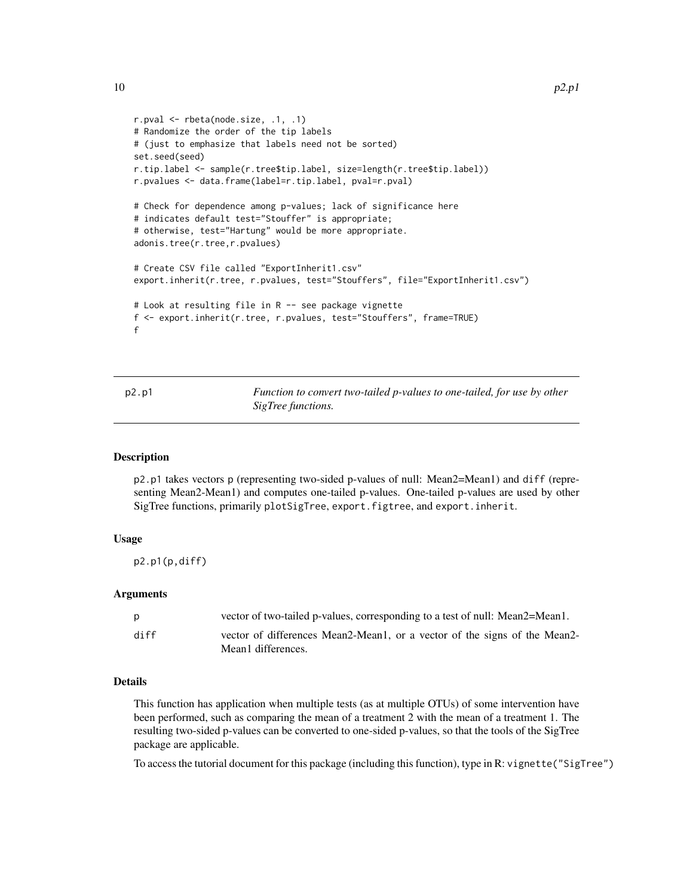```
r.pval <- rbeta(node.size, .1, .1)
# Randomize the order of the tip labels
# (just to emphasize that labels need not be sorted)
set.seed(seed)
r.tip.label <- sample(r.tree$tip.label, size=length(r.tree$tip.label))
r.pvalues <- data.frame(label=r.tip.label, pval=r.pval)
# Check for dependence among p-values; lack of significance here
# indicates default test="Stouffer" is appropriate;
# otherwise, test="Hartung" would be more appropriate.
adonis.tree(r.tree,r.pvalues)
# Create CSV file called "ExportInherit1.csv"
export.inherit(r.tree, r.pvalues, test="Stouffers", file="ExportInherit1.csv")
# Look at resulting file in R -- see package vignette
f <- export.inherit(r.tree, r.pvalues, test="Stouffers", frame=TRUE)
f
```

| p2.p1 | Function to convert two-tailed p-values to one-tailed, for use by other |
|-------|-------------------------------------------------------------------------|
|       | <i>SigTree functions.</i>                                               |

#### Description

p2.p1 takes vectors p (representing two-sided p-values of null: Mean2=Mean1) and diff (representing Mean2-Mean1) and computes one-tailed p-values. One-tailed p-values are used by other SigTree functions, primarily plotSigTree, export.figtree, and export.inherit.

#### Usage

p2.p1(p,diff)

#### Arguments

| p    | vector of two-tailed p-values, corresponding to a test of null: Mean2=Mean1.                    |
|------|-------------------------------------------------------------------------------------------------|
| diff | vector of differences Mean2-Mean1, or a vector of the signs of the Mean2-<br>Mean1 differences. |

#### Details

This function has application when multiple tests (as at multiple OTUs) of some intervention have been performed, such as comparing the mean of a treatment 2 with the mean of a treatment 1. The resulting two-sided p-values can be converted to one-sided p-values, so that the tools of the SigTree package are applicable.

To access the tutorial document for this package (including this function), type in R: vignette("SigTree")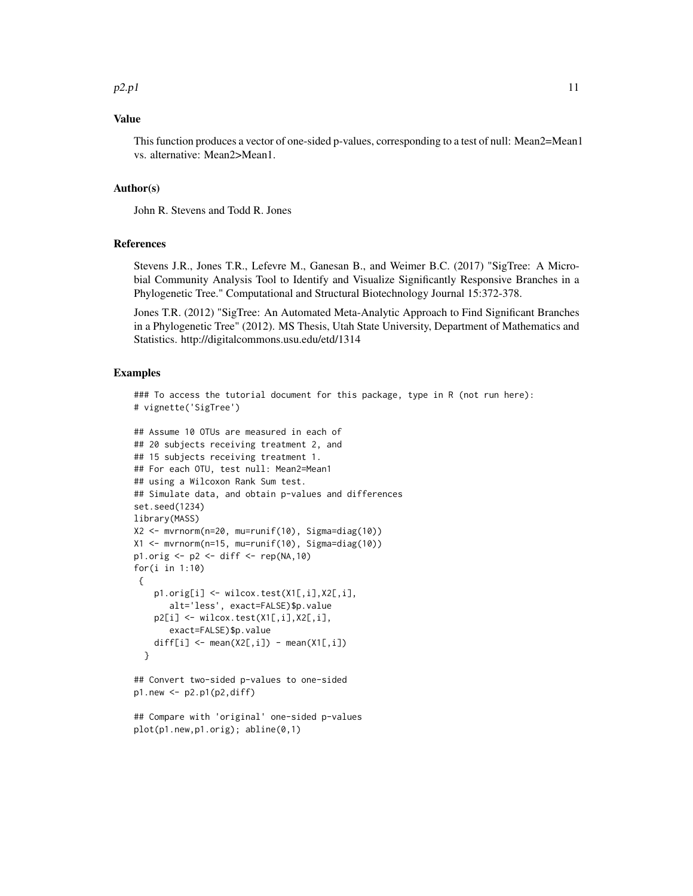# Value

This function produces a vector of one-sided p-values, corresponding to a test of null: Mean2=Mean1 vs. alternative: Mean2>Mean1.

#### Author(s)

John R. Stevens and Todd R. Jones

#### References

Stevens J.R., Jones T.R., Lefevre M., Ganesan B., and Weimer B.C. (2017) "SigTree: A Microbial Community Analysis Tool to Identify and Visualize Significantly Responsive Branches in a Phylogenetic Tree." Computational and Structural Biotechnology Journal 15:372-378.

Jones T.R. (2012) "SigTree: An Automated Meta-Analytic Approach to Find Significant Branches in a Phylogenetic Tree" (2012). MS Thesis, Utah State University, Department of Mathematics and Statistics. http://digitalcommons.usu.edu/etd/1314

## Examples

### To access the tutorial document for this package, type in R (not run here): # vignette('SigTree')

```
## Assume 10 OTUs are measured in each of
## 20 subjects receiving treatment 2, and
## 15 subjects receiving treatment 1.
## For each OTU, test null: Mean2=Mean1
## using a Wilcoxon Rank Sum test.
## Simulate data, and obtain p-values and differences
set.seed(1234)
library(MASS)
X2 <- mvrnorm(n=20, mu=runif(10), Sigma=diag(10))
X1 <- mvrnorm(n=15, mu=runif(10), Sigma=diag(10))
p1.orig \leq p2 \leq diff \leq rep(NA, 10)
for(i in 1:10)
{
    p1.orig[i] <- wilcox.test(X1[,i],X2[,i],
       alt='less', exact=FALSE)$p.value
    p2[i] <- wilcox.test(X1[,i],X2[,i],
       exact=FALSE)$p.value
    diff[i] \leftarrow mean(X2[,i]) - mean(X1[,i])
 }
```

```
## Convert two-sided p-values to one-sided
p1.new < -p2.p1(p2,diff)
```

```
## Compare with 'original' one-sided p-values
plot(p1.new,p1.orig); abline(0,1)
```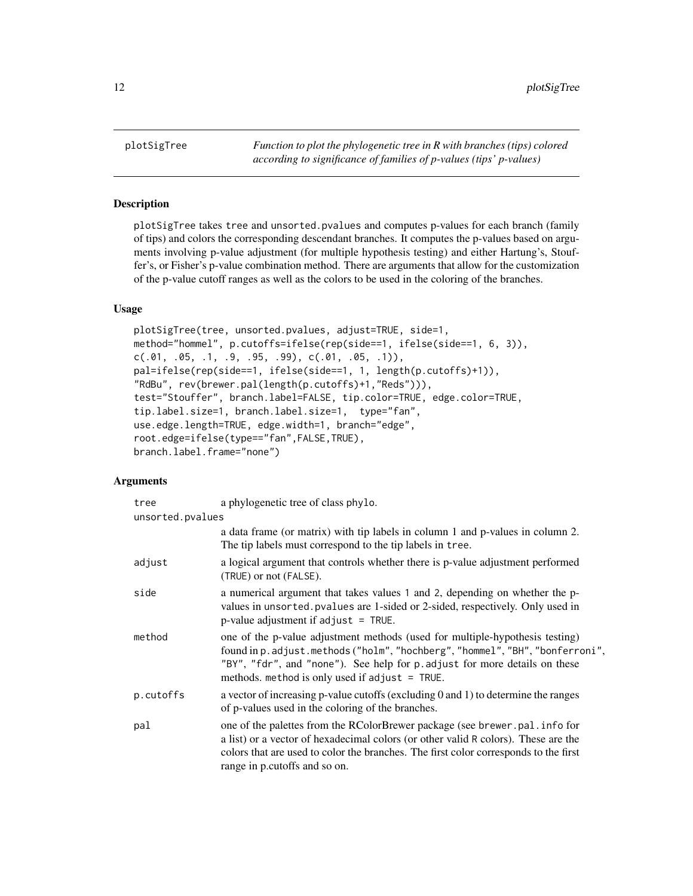<span id="page-11-1"></span><span id="page-11-0"></span>plotSigTree *Function to plot the phylogenetic tree in R with branches (tips) colored according to significance of families of p-values (tips' p-values)*

# Description

plotSigTree takes tree and unsorted.pvalues and computes p-values for each branch (family of tips) and colors the corresponding descendant branches. It computes the p-values based on arguments involving p-value adjustment (for multiple hypothesis testing) and either Hartung's, Stouffer's, or Fisher's p-value combination method. There are arguments that allow for the customization of the p-value cutoff ranges as well as the colors to be used in the coloring of the branches.

#### Usage

```
plotSigTree(tree, unsorted.pvalues, adjust=TRUE, side=1,
method="hommel", p.cutoffs=ifelse(rep(side==1, ifelse(side==1, 6, 3)),
c(.01, .05, .1, .9, .95, .99), c(.01, .05, .1)),pal=ifelse(rep(side==1, ifelse(side==1, 1, length(p.cutoffs)+1)),
"RdBu", rev(brewer.pal(length(p.cutoffs)+1,"Reds"))),
test="Stouffer", branch.label=FALSE, tip.color=TRUE, edge.color=TRUE,
tip.label.size=1, branch.label.size=1, type="fan",
use.edge.length=TRUE, edge.width=1, branch="edge",
root.edge=ifelse(type=="fan",FALSE,TRUE),
branch.label.frame="none")
```
#### Arguments

| tree             | a phylogenetic tree of class phylo.                                                                                                                                                                                                                                                             |  |
|------------------|-------------------------------------------------------------------------------------------------------------------------------------------------------------------------------------------------------------------------------------------------------------------------------------------------|--|
| unsorted.pvalues |                                                                                                                                                                                                                                                                                                 |  |
|                  | a data frame (or matrix) with tip labels in column 1 and p-values in column 2.<br>The tip labels must correspond to the tip labels in tree.                                                                                                                                                     |  |
| adjust           | a logical argument that controls whether there is p-value adjustment performed<br>(TRUE) or not (FALSE).                                                                                                                                                                                        |  |
| side             | a numerical argument that takes values 1 and 2, depending on whether the p-<br>values in unsorted. pvalues are 1-sided or 2-sided, respectively. Only used in<br>p-value adjustment if $adjust = TRUE$ .                                                                                        |  |
| method           | one of the p-value adjustment methods (used for multiple-hypothesis testing)<br>found in p. adjust.methods ("holm", "hochberg", "hommel", "BH", "bonferroni",<br>"BY", "fdr", and "none"). See help for p. adjust for more details on these<br>methods. method is only used if adjust $=$ TRUE. |  |
| p.cutoffs        | a vector of increasing $p$ -value cutoffs (excluding 0 and 1) to determine the ranges<br>of p-values used in the coloring of the branches.                                                                                                                                                      |  |
| pal              | one of the palettes from the RColorBrewer package (see brewer.pal.info for<br>a list) or a vector of hexadecimal colors (or other valid R colors). These are the<br>colors that are used to color the branches. The first color corresponds to the first<br>range in p.cutoffs and so on.       |  |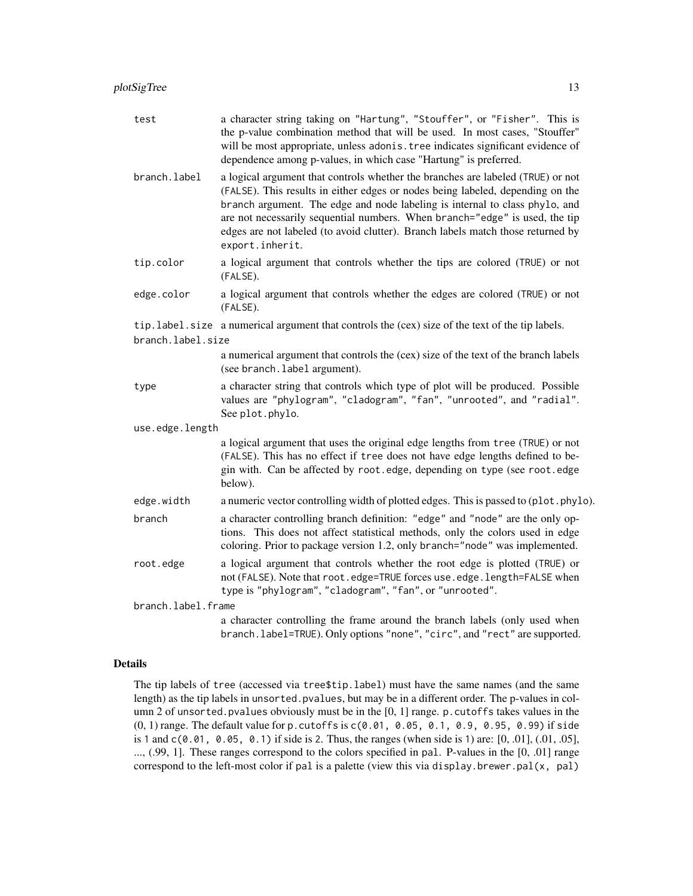| test               | a character string taking on "Hartung", "Stouffer", or "Fisher". This is<br>the p-value combination method that will be used. In most cases, "Stouffer"<br>will be most appropriate, unless adonis. tree indicates significant evidence of<br>dependence among p-values, in which case "Hartung" is preferred.                                                                                                                        |  |
|--------------------|---------------------------------------------------------------------------------------------------------------------------------------------------------------------------------------------------------------------------------------------------------------------------------------------------------------------------------------------------------------------------------------------------------------------------------------|--|
| branch.label       | a logical argument that controls whether the branches are labeled (TRUE) or not<br>(FALSE). This results in either edges or nodes being labeled, depending on the<br>branch argument. The edge and node labeling is internal to class phylo, and<br>are not necessarily sequential numbers. When branch="edge" is used, the tip<br>edges are not labeled (to avoid clutter). Branch labels match those returned by<br>export.inherit. |  |
| tip.color          | a logical argument that controls whether the tips are colored (TRUE) or not<br>(FALSE).                                                                                                                                                                                                                                                                                                                                               |  |
| edge.color         | a logical argument that controls whether the edges are colored (TRUE) or not<br>(FALSE).                                                                                                                                                                                                                                                                                                                                              |  |
|                    | tip.label.size a numerical argument that controls the (cex) size of the text of the tip labels.                                                                                                                                                                                                                                                                                                                                       |  |
| branch.label.size  |                                                                                                                                                                                                                                                                                                                                                                                                                                       |  |
|                    | a numerical argument that controls the (cex) size of the text of the branch labels<br>(see branch. label argument).                                                                                                                                                                                                                                                                                                                   |  |
| type               | a character string that controls which type of plot will be produced. Possible<br>values are "phylogram", "cladogram", "fan", "unrooted", and "radial".<br>See plot.phylo.                                                                                                                                                                                                                                                            |  |
| use.edge.length    |                                                                                                                                                                                                                                                                                                                                                                                                                                       |  |
|                    | a logical argument that uses the original edge lengths from tree (TRUE) or not<br>(FALSE). This has no effect if tree does not have edge lengths defined to be-<br>gin with. Can be affected by root.edge, depending on type (see root.edge<br>below).                                                                                                                                                                                |  |
| edge.width         | a numeric vector controlling width of plotted edges. This is passed to (plot.phylo).                                                                                                                                                                                                                                                                                                                                                  |  |
| branch             | a character controlling branch definition: "edge" and "node" are the only op-<br>tions. This does not affect statistical methods, only the colors used in edge<br>coloring. Prior to package version 1.2, only branch="node" was implemented.                                                                                                                                                                                         |  |
| root.edge          | a logical argument that controls whether the root edge is plotted (TRUE) or<br>not (FALSE). Note that root.edge=TRUE forces use.edge.length=FALSE when<br>type is "phylogram", "cladogram", "fan", or "unrooted".                                                                                                                                                                                                                     |  |
| branch.label.frame |                                                                                                                                                                                                                                                                                                                                                                                                                                       |  |
|                    | a character controlling the frame around the branch labels (only used when<br>branch. label=TRUE). Only options "none", "circ", and "rect" are supported.                                                                                                                                                                                                                                                                             |  |

# Details

The tip labels of tree (accessed via tree\$tip.label) must have the same names (and the same length) as the tip labels in unsorted.pvalues, but may be in a different order. The p-values in column 2 of unsorted.pvalues obviously must be in the [0, 1] range. p.cutoffs takes values in the  $(0, 1)$  range. The default value for p. cutoffs is  $c(0.01, 0.05, 0.1, 0.9, 0.95, 0.99)$  if side is 1 and c(0.01, 0.05, 0.1) if side is 2. Thus, the ranges (when side is 1) are: [0, .01], (.01, .05], ..., (.99, 1]. These ranges correspond to the colors specified in pal. P-values in the [0, .01] range correspond to the left-most color if pal is a palette (view this via display.brewer.pal $(x, pal)$ )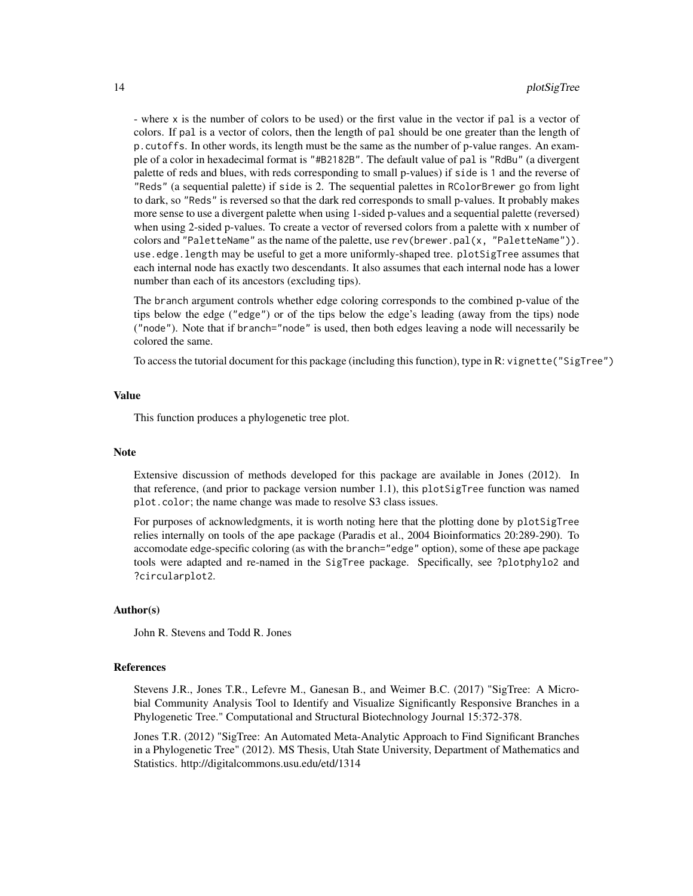- where x is the number of colors to be used) or the first value in the vector if pal is a vector of colors. If pal is a vector of colors, then the length of pal should be one greater than the length of p.cutoffs. In other words, its length must be the same as the number of p-value ranges. An example of a color in hexadecimal format is "#B2182B". The default value of pal is "RdBu" (a divergent palette of reds and blues, with reds corresponding to small p-values) if side is 1 and the reverse of "Reds" (a sequential palette) if side is 2. The sequential palettes in RColorBrewer go from light to dark, so "Reds" is reversed so that the dark red corresponds to small p-values. It probably makes more sense to use a divergent palette when using 1-sided p-values and a sequential palette (reversed) when using 2-sided p-values. To create a vector of reversed colors from a palette with x number of colors and "PaletteName" as the name of the palette, use rev(brewer.pal(x, "PaletteName")). use.edge.length may be useful to get a more uniformly-shaped tree. plotSigTree assumes that each internal node has exactly two descendants. It also assumes that each internal node has a lower number than each of its ancestors (excluding tips).

The branch argument controls whether edge coloring corresponds to the combined p-value of the tips below the edge ("edge") or of the tips below the edge's leading (away from the tips) node ("node"). Note that if branch="node" is used, then both edges leaving a node will necessarily be colored the same.

To access the tutorial document for this package (including this function), type in R: vignette("SigTree")

#### Value

This function produces a phylogenetic tree plot.

#### **Note**

Extensive discussion of methods developed for this package are available in Jones (2012). In that reference, (and prior to package version number 1.1), this plotSigTree function was named plot.color; the name change was made to resolve S3 class issues.

For purposes of acknowledgments, it is worth noting here that the plotting done by plotSigTree relies internally on tools of the ape package (Paradis et al., 2004 Bioinformatics 20:289-290). To accomodate edge-specific coloring (as with the branch="edge" option), some of these ape package tools were adapted and re-named in the SigTree package. Specifically, see ?plotphylo2 and ?circularplot2.

#### Author(s)

John R. Stevens and Todd R. Jones

#### References

Stevens J.R., Jones T.R., Lefevre M., Ganesan B., and Weimer B.C. (2017) "SigTree: A Microbial Community Analysis Tool to Identify and Visualize Significantly Responsive Branches in a Phylogenetic Tree." Computational and Structural Biotechnology Journal 15:372-378.

Jones T.R. (2012) "SigTree: An Automated Meta-Analytic Approach to Find Significant Branches in a Phylogenetic Tree" (2012). MS Thesis, Utah State University, Department of Mathematics and Statistics. http://digitalcommons.usu.edu/etd/1314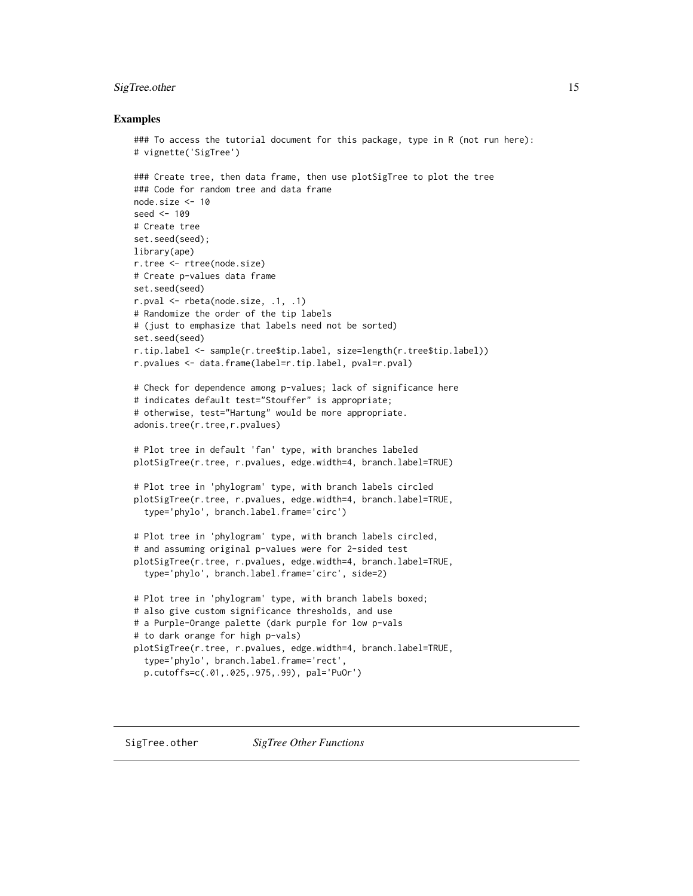# <span id="page-14-0"></span>SigTree.other 15

#### Examples

```
### To access the tutorial document for this package, type in R (not run here):
# vignette('SigTree')
### Create tree, then data frame, then use plotSigTree to plot the tree
### Code for random tree and data frame
node.size <- 10
seed <- 109
# Create tree
set.seed(seed);
library(ape)
r.tree <- rtree(node.size)
# Create p-values data frame
set.seed(seed)
r.pval <- rbeta(node.size, .1, .1)
# Randomize the order of the tip labels
# (just to emphasize that labels need not be sorted)
set.seed(seed)
r.tip.label <- sample(r.tree$tip.label, size=length(r.tree$tip.label))
r.pvalues <- data.frame(label=r.tip.label, pval=r.pval)
# Check for dependence among p-values; lack of significance here
# indicates default test="Stouffer" is appropriate;
# otherwise, test="Hartung" would be more appropriate.
adonis.tree(r.tree,r.pvalues)
# Plot tree in default 'fan' type, with branches labeled
plotSigTree(r.tree, r.pvalues, edge.width=4, branch.label=TRUE)
# Plot tree in 'phylogram' type, with branch labels circled
plotSigTree(r.tree, r.pvalues, edge.width=4, branch.label=TRUE,
  type='phylo', branch.label.frame='circ')
# Plot tree in 'phylogram' type, with branch labels circled,
# and assuming original p-values were for 2-sided test
plotSigTree(r.tree, r.pvalues, edge.width=4, branch.label=TRUE,
  type='phylo', branch.label.frame='circ', side=2)
# Plot tree in 'phylogram' type, with branch labels boxed;
# also give custom significance thresholds, and use
# a Purple-Orange palette (dark purple for low p-vals
# to dark orange for high p-vals)
plotSigTree(r.tree, r.pvalues, edge.width=4, branch.label=TRUE,
  type='phylo', branch.label.frame='rect',
  p.cutoffs=c(.01,.025,.975,.99), pal='PuOr')
```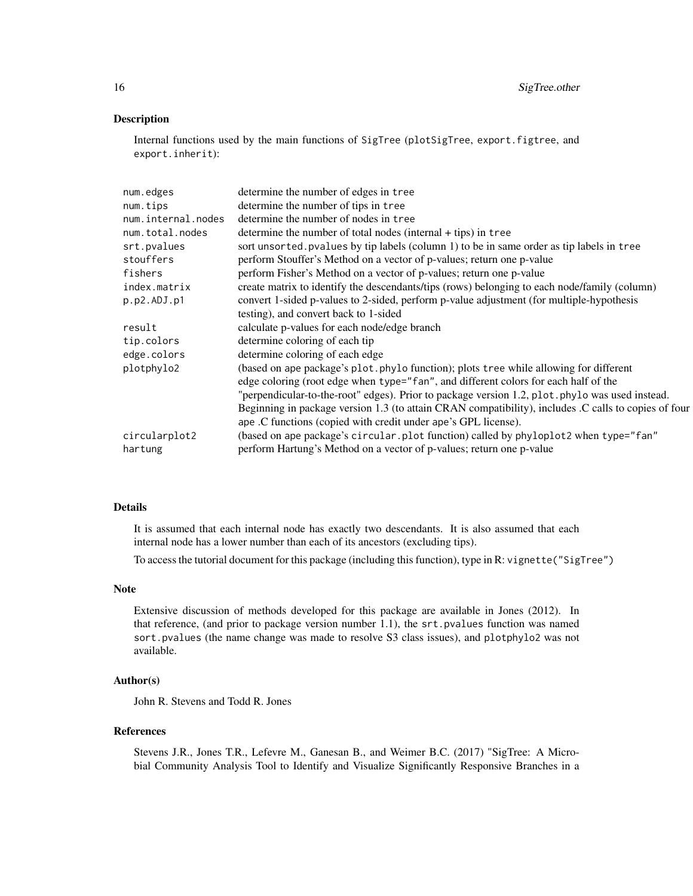# Description

Internal functions used by the main functions of SigTree (plotSigTree, export.figtree, and export.inherit):

| num.edges          | determine the number of edges in tree                                                                |
|--------------------|------------------------------------------------------------------------------------------------------|
| num.tips           | determine the number of tips in tree                                                                 |
| num.internal.nodes | determine the number of nodes in tree                                                                |
| num.total.nodes    | determine the number of total nodes (internal + tips) in tree                                        |
| srt.pvalues        | sort unsorted. pvalues by tip labels (column 1) to be in same order as tip labels in tree            |
| stouffers          | perform Stouffer's Method on a vector of p-values; return one p-value                                |
| fishers            | perform Fisher's Method on a vector of p-values; return one p-value                                  |
| index.matrix       | create matrix to identify the descendants/tips (rows) belonging to each node/family (column)         |
| p.p2.ADJ.p1        | convert 1-sided p-values to 2-sided, perform p-value adjustment (for multiple-hypothesis             |
|                    | testing), and convert back to 1-sided                                                                |
| result             | calculate p-values for each node/edge branch                                                         |
| tip.colors         | determine coloring of each tip                                                                       |
| edge.colors        | determine coloring of each edge                                                                      |
| plotphylo2         | (based on ape package's plot.phylo function); plots tree while allowing for different                |
|                    | edge coloring (root edge when type="fan", and different colors for each half of the                  |
|                    | "perpendicular-to-the-root" edges). Prior to package version 1.2, plot. phylo was used instead.      |
|                    | Beginning in package version 1.3 (to attain CRAN compatibility), includes .C calls to copies of four |
|                    | ape .C functions (copied with credit under ape's GPL license).                                       |
| circularplot2      | (based on ape package's circular.plot function) called by phyloplot2 when type="fan"                 |
| hartung            | perform Hartung's Method on a vector of p-values; return one p-value                                 |
|                    |                                                                                                      |

#### Details

It is assumed that each internal node has exactly two descendants. It is also assumed that each internal node has a lower number than each of its ancestors (excluding tips).

To access the tutorial document for this package (including this function), type in R: vignette("SigTree")

#### Note

Extensive discussion of methods developed for this package are available in Jones (2012). In that reference, (and prior to package version number 1.1), the srt.pvalues function was named sort.pvalues (the name change was made to resolve S3 class issues), and plotphylo2 was not available.

### Author(s)

John R. Stevens and Todd R. Jones

#### References

Stevens J.R., Jones T.R., Lefevre M., Ganesan B., and Weimer B.C. (2017) "SigTree: A Microbial Community Analysis Tool to Identify and Visualize Significantly Responsive Branches in a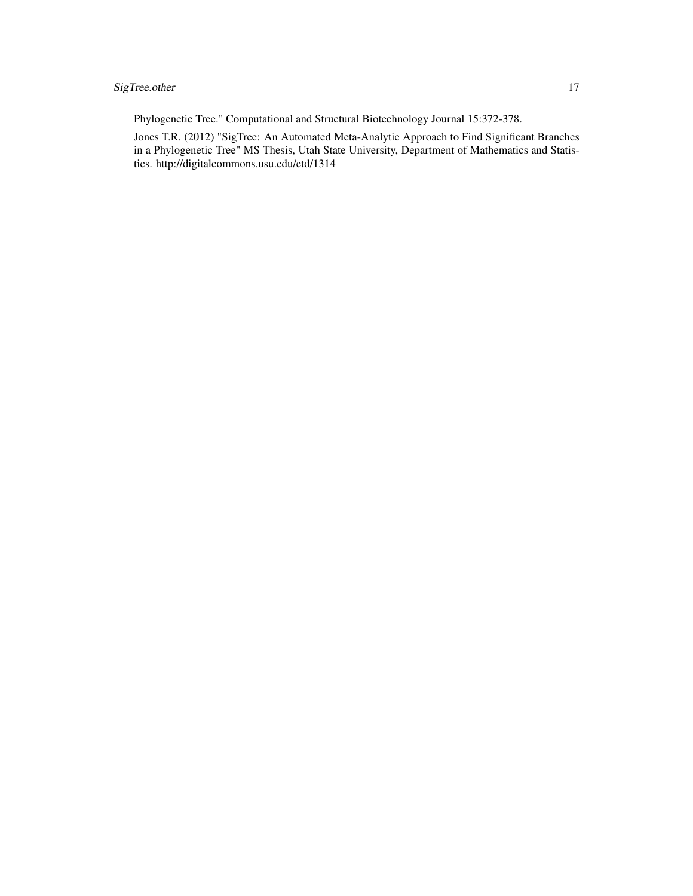# SigTree.other 17

Phylogenetic Tree." Computational and Structural Biotechnology Journal 15:372-378.

Jones T.R. (2012) "SigTree: An Automated Meta-Analytic Approach to Find Significant Branches in a Phylogenetic Tree" MS Thesis, Utah State University, Department of Mathematics and Statistics. http://digitalcommons.usu.edu/etd/1314